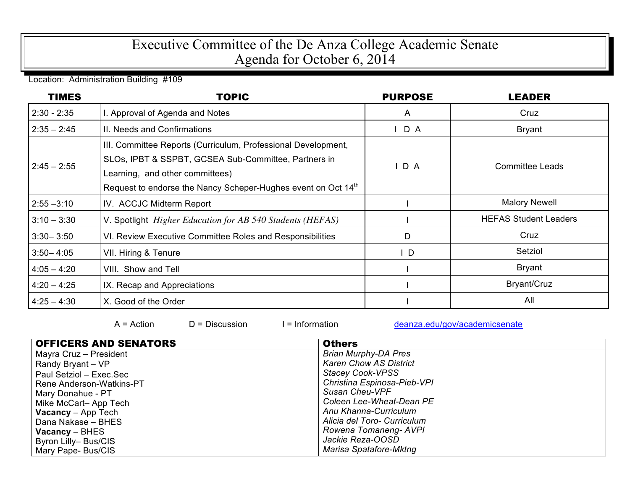## Executive Committee of the De Anza College Academic Senate Agenda for October 6, 2014

Location: Administration Building #109

| <b>TIMES</b>  | <b>TOPIC</b>                                                                                                                                                                                                                          | <b>PURPOSE</b> | <b>LEADER</b>                |
|---------------|---------------------------------------------------------------------------------------------------------------------------------------------------------------------------------------------------------------------------------------|----------------|------------------------------|
| $2:30 - 2:35$ | I. Approval of Agenda and Notes                                                                                                                                                                                                       | $\mathsf{A}$   | Cruz                         |
| $2:35 - 2:45$ | II. Needs and Confirmations                                                                                                                                                                                                           | $I$ D A        | <b>Bryant</b>                |
| $2:45 - 2:55$ | III. Committee Reports (Curriculum, Professional Development,<br>SLOs, IPBT & SSPBT, GCSEA Sub-Committee, Partners in<br>Learning, and other committees)<br>Request to endorse the Nancy Scheper-Hughes event on Oct 14 <sup>th</sup> | D A            | <b>Committee Leads</b>       |
| $2:55 - 3:10$ | IV. ACCJC Midterm Report                                                                                                                                                                                                              |                | <b>Malory Newell</b>         |
| $3:10 - 3:30$ | V. Spotlight <i>Higher Education for AB 540 Students (HEFAS)</i>                                                                                                                                                                      |                | <b>HEFAS Student Leaders</b> |
| $3:30 - 3:50$ | VI. Review Executive Committee Roles and Responsibilities                                                                                                                                                                             | D              | Cruz                         |
| $3:50 - 4:05$ | VII. Hiring & Tenure                                                                                                                                                                                                                  | $\mathsf{I}$ D | Setziol                      |
| $4:05 - 4:20$ | VIII. Show and Tell                                                                                                                                                                                                                   |                | <b>Bryant</b>                |
| $4:20 - 4:25$ | IX. Recap and Appreciations                                                                                                                                                                                                           |                | Bryant/Cruz                  |
| $4:25 - 4:30$ | X. Good of the Order                                                                                                                                                                                                                  |                | All                          |

 $A = Action$   $D = Discussion$   $I = Information$  deanza.edu/gov/academicsenate

| <b>OFFICERS AND SENATORS</b> | <b>Others</b>                 |
|------------------------------|-------------------------------|
| Mayra Cruz - President       | <b>Brian Murphy-DA Pres</b>   |
| Randy Bryant - VP            | <b>Karen Chow AS District</b> |
| Paul Setziol - Exec.Sec      | <b>Stacey Cook-VPSS</b>       |
| Rene Anderson-Watkins-PT     | Christina Espinosa-Pieb-VPI   |
| Mary Donahue - PT            | Susan Cheu-VPF                |
| Mike McCart-App Tech         | Coleen Lee-Wheat-Dean PE      |
| <b>Vacancy</b> $-$ App Tech  | Anu Khanna-Curriculum         |
| Dana Nakase - BHES           | Alicia del Toro- Curriculum   |
| $Vacancy - BHES$             | Rowena Tomaneng-AVPI          |
| Byron Lilly-Bus/CIS          | Jackie Reza-OOSD              |
| Mary Pape-Bus/CIS            | Marisa Spatafore-Mktng        |